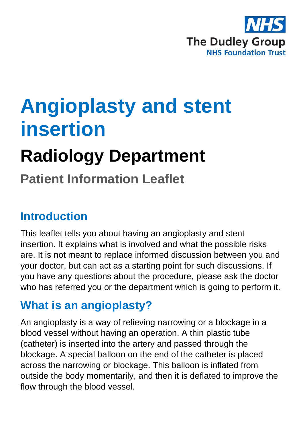

# **Angioplasty and stent insertion**

# **Radiology Department**

## **Patient Information Leaflet**

#### **Introduction**

This leaflet tells you about having an angioplasty and stent insertion. It explains what is involved and what the possible risks are. It is not meant to replace informed discussion between you and your doctor, but can act as a starting point for such discussions. If you have any questions about the procedure, please ask the doctor who has referred you or the department which is going to perform it.

#### **What is an angioplasty?**

An angioplasty is a way of relieving narrowing or a blockage in a blood vessel without having an operation. A thin plastic tube (catheter) is inserted into the artery and passed through the blockage. A special balloon on the end of the catheter is placed across the narrowing or blockage. This balloon is inflated from outside the body momentarily, and then it is deflated to improve the flow through the blood vessel.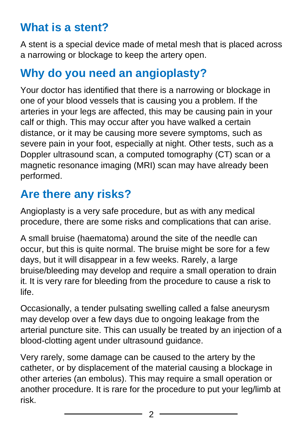#### **What is a stent?**

A stent is a special device made of metal mesh that is placed across a narrowing or blockage to keep the artery open.

#### **Why do you need an angioplasty?**

Your doctor has identified that there is a narrowing or blockage in one of your blood vessels that is causing you a problem. If the arteries in your legs are affected, this may be causing pain in your calf or thigh. This may occur after you have walked a certain distance, or it may be causing more severe symptoms, such as severe pain in your foot, especially at night. Other tests, such as a Doppler ultrasound scan, a computed tomography (CT) scan or a magnetic resonance imaging (MRI) scan may have already been performed.

#### **Are there any risks?**

Angioplasty is a very safe procedure, but as with any medical procedure, there are some risks and complications that can arise.

A small bruise (haematoma) around the site of the needle can occur, but this is quite normal. The bruise might be sore for a few days, but it will disappear in a few weeks. Rarely, a large bruise/bleeding may develop and require a small operation to drain it. It is very rare for bleeding from the procedure to cause a risk to life.

Occasionally, a tender pulsating swelling called a false aneurysm may develop over a few days due to ongoing leakage from the arterial puncture site. This can usually be treated by an injection of a blood-clotting agent under ultrasound guidance.

Very rarely, some damage can be caused to the artery by the catheter, or by displacement of the material causing a blockage in other arteries (an embolus). This may require a small operation or another procedure. It is rare for the procedure to put your leg/limb at risk.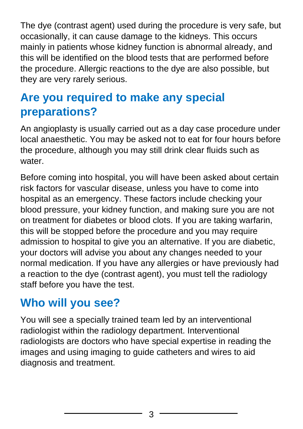The dye (contrast agent) used during the procedure is very safe, but occasionally, it can cause damage to the kidneys. This occurs mainly in patients whose kidney function is abnormal already, and this will be identified on the blood tests that are performed before the procedure. Allergic reactions to the dye are also possible, but they are very rarely serious.

#### **Are you required to make any special preparations?**

An angioplasty is usually carried out as a day case procedure under local anaesthetic. You may be asked not to eat for four hours before the procedure, although you may still drink clear fluids such as water

Before coming into hospital, you will have been asked about certain risk factors for vascular disease, unless you have to come into hospital as an emergency. These factors include checking your blood pressure, your kidney function, and making sure you are not on treatment for diabetes or blood clots. If you are taking warfarin, this will be stopped before the procedure and you may require admission to hospital to give you an alternative. If you are diabetic, your doctors will advise you about any changes needed to your normal medication. If you have any allergies or have previously had a reaction to the dye (contrast agent), you must tell the radiology staff before you have the test.

#### **Who will you see?**

You will see a specially trained team led by an interventional radiologist within the radiology department. Interventional radiologists are doctors who have special expertise in reading the images and using imaging to guide catheters and wires to aid diagnosis and treatment.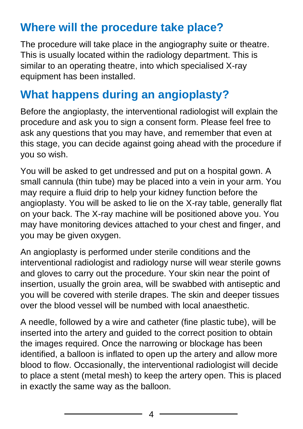#### **Where will the procedure take place?**

The procedure will take place in the angiography suite or theatre. This is usually located within the radiology department. This is similar to an operating theatre, into which specialised X-ray equipment has been installed.

#### **What happens during an angioplasty?**

Before the angioplasty, the interventional radiologist will explain the procedure and ask you to sign a consent form. Please feel free to ask any questions that you may have, and remember that even at this stage, you can decide against going ahead with the procedure if you so wish.

You will be asked to get undressed and put on a hospital gown. A small cannula (thin tube) may be placed into a vein in your arm. You may require a fluid drip to help your kidney function before the angioplasty. You will be asked to lie on the X-ray table, generally flat on your back. The X-ray machine will be positioned above you. You may have monitoring devices attached to your chest and finger, and you may be given oxygen.

An angioplasty is performed under sterile conditions and the interventional radiologist and radiology nurse will wear sterile gowns and gloves to carry out the procedure. Your skin near the point of insertion, usually the groin area, will be swabbed with antiseptic and you will be covered with sterile drapes. The skin and deeper tissues over the blood vessel will be numbed with local anaesthetic.

A needle, followed by a wire and catheter (fine plastic tube), will be inserted into the artery and guided to the correct position to obtain the images required. Once the narrowing or blockage has been identified, a balloon is inflated to open up the artery and allow more blood to flow. Occasionally, the interventional radiologist will decide to place a stent (metal mesh) to keep the artery open. This is placed in exactly the same way as the balloon.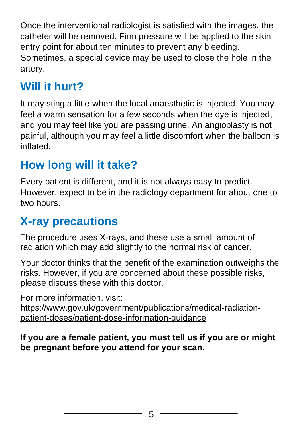Once the interventional radiologist is satisfied with the images, the catheter will be removed. Firm pressure will be applied to the skin entry point for about ten minutes to prevent any bleeding. Sometimes, a special device may be used to close the hole in the artery.

### **Will it hurt?**

It may sting a little when the local anaesthetic is injected. You may feel a warm sensation for a few seconds when the dye is injected, and you may feel like you are passing urine. An angioplasty is not painful, although you may feel a little discomfort when the balloon is inflated.

### **How long will it take?**

Every patient is different, and it is not always easy to predict. However, expect to be in the radiology department for about one to two hours.

#### **X-ray precautions**

The procedure uses X-rays, and these use a small amount of radiation which may add slightly to the normal risk of cancer.

Your doctor thinks that the benefit of the examination outweighs the risks. However, if you are concerned about these possible risks, please discuss these with this doctor.

For more information, visit:

[https://www.gov.uk/government/publications/medical-radiation](https://www.gov.uk/government/publications/medical-radiation-patient-doses/patient-dose-information-guidance)[patient-doses/patient-dose-information-guidance](https://www.gov.uk/government/publications/medical-radiation-patient-doses/patient-dose-information-guidance)

**If you are a female patient, you must tell us if you are or might be pregnant before you attend for your scan.**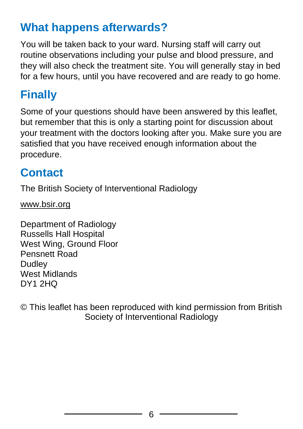#### **What happens afterwards?**

You will be taken back to your ward. Nursing staff will carry out routine observations including your pulse and blood pressure, and they will also check the treatment site. You will generally stay in bed for a few hours, until you have recovered and are ready to go home.

## **Finally**

Some of your questions should have been answered by this leaflet, but remember that this is only a starting point for discussion about your treatment with the doctors looking after you. Make sure you are satisfied that you have received enough information about the procedure.

#### **Contact**

The British Society of Interventional Radiology

[www.bsir.org](http://www.bsir.org/)

Department of Radiology Russells Hall Hospital West Wing, Ground Floor Pensnett Road **Dudley** West Midlands DY1 2HQ

© This leaflet has been reproduced with kind permission from British Society of Interventional Radiology